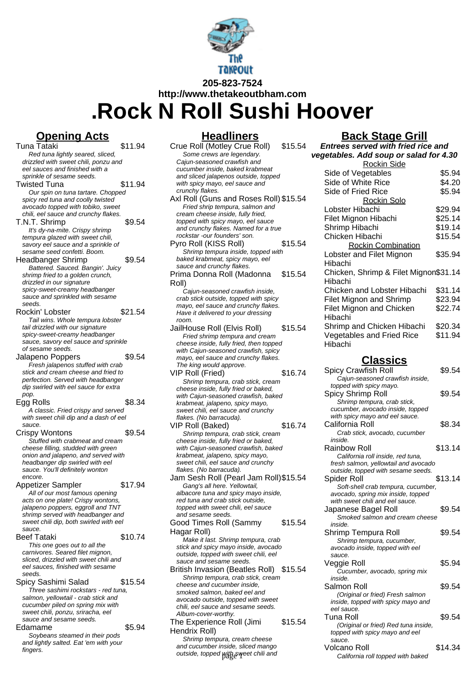

**http://www.thetakeoutbham.com**

**.Rock N Roll Sushi Hoover**

# **Opening Acts**

**Headliners**

| <u>Upening Acts</u>                                                      |         |
|--------------------------------------------------------------------------|---------|
| Tuna Tataki                                                              | \$11.94 |
| Red tuna lightly seared, sliced,                                         |         |
| drizzled with sweet chili, ponzu and                                     |         |
| eel sauces and finished with a                                           |         |
| sprinkle of sesame seeds.<br><b>Twisted Tuna</b>                         | \$11.94 |
| Our spin on tuna tartare. Chopped                                        |         |
| spicy red tuna and coolly twisted                                        |         |
| avocado topped with tobiko, sweet                                        |         |
| chili, eel sauce and crunchy flakes.                                     |         |
| T.N.T. Shrimp                                                            | \$9.54  |
| It's dy-na-mite. Crispy shrimp                                           |         |
| tempura glazed with sweet chili,                                         |         |
| savory eel sauce and a sprinkle of                                       |         |
| sesame seed confetti. Boom.                                              |         |
| <b>Headbanger Shrimp</b>                                                 | \$9.54  |
| Battered. Sauced. Bangin'. Juicy                                         |         |
| shrimp fried to a golden crunch,<br>drizzled in our signature            |         |
| spicy-sweet-creamy headbanger                                            |         |
| sauce and sprinkled with sesame                                          |         |
| seeds.                                                                   |         |
| Rockin' Lobster                                                          | \$21.54 |
| Tail wins. Whole tempura lobster                                         |         |
| tail drizzled with our signature                                         |         |
| spicy-sweet-creamy headbanger                                            |         |
| sauce, savory eel sauce and sprinkle<br>of sesame seeds.                 |         |
| Jalapeno Poppers                                                         | \$9.54  |
| Fresh jalapenos stuffed with crab                                        |         |
| stick and cream cheese and fried to                                      |         |
| perfection. Served with headbanger                                       |         |
| dip swirled with eel sauce for extra                                     |         |
| pop.                                                                     |         |
| Egg Rolls                                                                | \$8.34  |
|                                                                          |         |
| A classic. Fried crispy and served                                       |         |
| with sweet chili dip and a dash of eel                                   |         |
| sauce.                                                                   |         |
|                                                                          | \$9.54  |
| Stuffed with crabmeat and cream                                          |         |
| cheese filling, studded with green                                       |         |
| onion and jalapeno, and served with<br>headbanger dip swirled with eel   |         |
| sauce. You'll definitely wonton                                          |         |
| Crispy Wontons<br>encore.                                                |         |
|                                                                          | \$17.94 |
| All of our most famous opening                                           |         |
| acts on one plate! Crispy wontons,                                       |         |
| jalapeno poppers, eggroll and TNT                                        |         |
| shrimp served with headbanger and                                        |         |
| sweet chili dip, both swirled with eel<br>sauce.                         |         |
| Appetizer Sampler<br><b>Beef Tataki</b>                                  | \$10.74 |
| This one goes out to all the                                             |         |
| carnivores. Seared filet mignon,                                         |         |
| sliced, drizzled with sweet chili and                                    |         |
| eel sauces, finished with sesame                                         |         |
| seeds.                                                                   |         |
| Spicy Sashimi Salad                                                      | \$15.54 |
| Three sashimi rockstars - red tuna,                                      |         |
| salmon, yellowtail - crab stick and<br>cucumber piled on spring mix with |         |
| sweet chili, ponzu, sriracha, eel                                        |         |
| sauce and sesame seeds.                                                  |         |
| Edamame                                                                  | \$5.94  |
| Soybeans steamed in their pods                                           |         |
| and lightly salted. Eat 'em with your<br>fingers.                        |         |

#### Crue Roll (Motley Crue Roll) \$15.54 Some crews are legendary. Cajun-seasoned crawfish and cucumber inside, baked krabmeat and sliced jalapenos outside, topped with spicy mayo, eel sauce and crunchy flakes. Axl Roll (Guns and Roses Roll) \$15.54 Fried shrip tempura, salmon and cream cheese inside, fully fried, topped with spicy mayo, eel sauce and crunchy flakes. Named for a true rockstar -our founders' son. Pyro Roll (KISS Roll) \$15.54 Shrimp tempura inside, topped with baked krabmeat, spicy mayo, eel sauce and crunchy flakes. Prima Donna Roll (Madonna Roll) \$15.54 Cajun-seasoned crawfish inside, crab stick outside, topped with spicy mayo, eel sauce and crunchy flakes. Have it delivered to your dressing room. JailHouse Roll (Elvis Roll) \$15.54 Fried shrimp tempura and cream cheese inside, fully fried, then topped with Caiun-seasoned crawfish, spicy mayo, eel sauce and crunchy flakes. The king would approve. VIP Roll (Fried) \$16.74 Shrimp tempura, crab stick, cream cheese inside, fully fried or baked, with Cajun-seasoned crawfish, baked krabmeat, jalapeno, spicy mayo, sweet chili, eel sauce and crunchy flakes. (No barracuda). VIP Roll (Baked) \$16.74 Shrimp tempura, crab stick, cream cheese inside, fully fried or baked, with Cajun-seasoned crawfish, baked krabmeat, jalapeno, spicy mayo, sweet chili, eel sauce and crunchy flakes. (No barracuda). Jam Sesh Roll (Pearl Jam Roll)\$15.54 Gang's all here. Yellowtail, albacore tuna and spicy mayo inside, red tuna and crab stick outside, topped with sweet chili, eel sauce and sesame seeds. Good Times Roll (Sammy Hagar Roll) \$15.54 Make it last. Shrimp tempura, crab stick and spicy mayo inside, avocado outside, topped with sweet chili, eel sauce and sesame seeds. British Invasion (Beatles Roll) \$15.54 Shrimp tempura, crab stick, cream cheese and cucumber inside, smoked salmon, baked eel and avocado outside, topped with sweet chili, eel sauce and sesame seeds. Album-cover-worthy. The Experience Roll (Jimi \$15.54

Hendrix Roll) Shrimp tempura, cream cheese and cucumber inside, sliced mango

### **Back Stage Grill**

| Entrees served with fried rice and     |         |
|----------------------------------------|---------|
| vegetables. Add soup or salad for 4.30 |         |
| <b>Rockin Side</b>                     |         |
| Side of Vegetables                     | \$5.94  |
| Side of White Rice                     | \$4.20  |
| Side of Fried Rice                     | \$5.94  |
| Rockin Solo                            |         |
| Lobster Hibachi                        | \$29.94 |
| Filet Mignon Hibachi                   | \$25.14 |
| Shrimp Hibachi                         | \$19.14 |
| Chicken Hibachi                        | \$15.54 |
| <b>Rockin Combination</b>              |         |
| Lobster and Filet Mignon               | \$35.94 |
| Hibachi                                |         |
| Chicken, Shrimp & Filet Mignon\$31.14  |         |
| Hibachi                                |         |
| Chicken and Lobster Hibachi            | \$31.14 |
| <b>Filet Mignon and Shrimp</b>         | \$23.94 |
| <b>Filet Mignon and Chicken</b>        | \$22.74 |
| Hibachi                                |         |
| Shrimp and Chicken Hibachi             | \$20.34 |
| <b>Vegetables and Fried Rice</b>       | \$11.94 |
| Hibachi                                |         |

# **Classics**

| The king would approve.               |         |                                      |         |
|---------------------------------------|---------|--------------------------------------|---------|
| IP Roll (Fried)                       | \$16.74 | Spicy Crawfish Roll                  | \$9.54  |
| Shrimp tempura, crab stick, cream     |         | Cajun-seasoned crawfish inside,      |         |
| cheese inside, fully fried or baked,  |         | topped with spicy mayo.              |         |
| with Cajun-seasoned crawfish, baked   |         | Spicy Shrimp Roll                    | \$9.54  |
| krabmeat, jalapeno, spicy mayo,       |         | Shrimp tempura, crab stick,          |         |
| sweet chili, eel sauce and crunchy    |         | cucumber, avocado inside, topped     |         |
| flakes. (No barracuda).               |         | with spicy mayo and eel sauce.       |         |
| IP Roll (Baked)                       | \$16.74 | California Roll                      | \$8.34  |
| Shrimp tempura, crab stick, cream     |         | Crab stick, avocado, cucumber        |         |
| cheese inside, fully fried or baked,  |         | inside.                              |         |
| with Cajun-seasoned crawfish, baked   |         | <b>Rainbow Roll</b>                  | \$13.14 |
| krabmeat, jalapeno, spicy mayo,       |         | California roll inside, red tuna,    |         |
| sweet chili, eel sauce and crunchy    |         | fresh salmon, yellowtail and avocado |         |
| flakes. (No barracuda).               |         | outside, topped with sesame seeds.   |         |
| am Sesh Roll (Pearl Jam Roll)\$15.54  |         | Spider Roll                          | \$13.14 |
| Gang's all here. Yellowtail,          |         | Soft-shell crab tempura, cucumber,   |         |
| albacore tuna and spicy mayo inside,  |         | avocado, spring mix inside, topped   |         |
| red tuna and crab stick outside,      |         | with sweet chili and eel sauce.      |         |
| topped with sweet chili, eel sauce    |         | Japanese Bagel Roll                  | \$9.54  |
| and sesame seeds.                     |         | Smoked salmon and cream cheese       |         |
| ood Times Roll (Sammy                 | \$15.54 | inside.                              |         |
| agar Roll)                            |         | Shrimp Tempura Roll                  | \$9.54  |
| Make it last. Shrimp tempura, crab    |         | Shrimp tempura, cucumber,            |         |
| stick and spicy mayo inside, avocado  |         | avocado inside, topped with eel      |         |
| outside, topped with sweet chili, eel |         | sauce.                               |         |
| sauce and sesame seeds.               |         | Veggie Roll                          | \$5.94  |
| ritish Invasion (Beatles Roll)        | \$15.54 | Cucumber, avocado, spring mix        |         |
| Shrimp tempura, crab stick, cream     |         | inside.                              |         |
| cheese and cucumber inside,           |         | Salmon Roll                          | \$9.54  |
| smoked salmon, baked eel and          |         | (Original or fried) Fresh salmon     |         |
| avocado outside, topped with sweet    |         | inside, topped with spicy mayo and   |         |
| chili, eel sauce and sesame seeds.    |         | eel sauce.                           |         |
| Album-cover-worthy.                   |         | <b>Tuna Roll</b>                     | \$9.54  |
| he Experience Roll (Jimi              | \$15.54 | (Original or fried) Red tuna inside, |         |
| endrix Roll)                          |         | topped with spicy mayo and eel       |         |
| Shrimp tempura, cream cheese          |         | sauce.                               |         |
| and cucumber inside, sliced mango     |         | Volcano Roll                         | \$14.34 |
| outside, topped with sweet chili and  |         | California roll topped with baked    |         |
|                                       |         |                                      |         |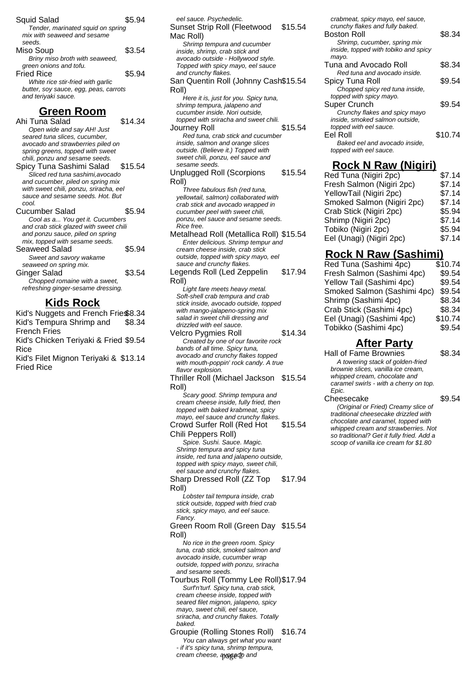| <b>Squid Salad</b>                    | \$5.94 |
|---------------------------------------|--------|
| Tender, marinated squid on spring     |        |
| mix with seaweed and sesame           |        |
| seeds.                                |        |
| Miso Soup                             | \$3.54 |
| Briny miso broth with seaweed,        |        |
| green onions and tofu.                |        |
| <b>Fried Rice</b>                     | \$5.94 |
| White rice stir-fried with garlic     |        |
| butter, soy sauce, egg, peas, carrots |        |
| and teriyaki sauce.                   |        |

### **Green Room**

Ahi Tuna Salad \$14.34 Open wide and say AH! Just seared tuna slices, cucumber, avocado and strawberries piled on spring greens, topped with sweet chili, ponzu and sesame seeds. Spicy Tuna Sashimi Salad \$15.54 Sliced red tuna sashimi,avocado and cucumber, piled on spring mix with sweet chili, ponzu, sriracha, eel sauce and sesame seeds. Hot. But cool. Cucumber Salad \$5.94 Cool as a... You get it. Cucumbers and crab stick glazed with sweet chili and ponzu sauce, piled on spring mix, topped with sesame seeds. Seaweed Salad \$5.94 Sweet and savory wakame seaweed on spring mix. Ginger Salad \$3.54 Chopped romaine with a sweet, refreshing ginger-sesame dressing.

### **Kids Rock**

Kid's Nuggets and French Fries\$8.34 Kid's Tempura Shrimp and French Fries \$8.34 Kid's Chicken Teriyaki & Fried \$9.54 Rice Kid's Filet Mignon Teriyaki & \$13.14 Fried Rice

eel sauce. Psychedelic. Sunset Strip Roll (Fleetwood Mac Roll) \$15.54 Shrimp tempura and cucumber inside, shrimp, crab stick and avocado outside - Hollywood style. Topped with spicy mayo, eel sauce and crunchy flakes. San Quentin Roll (Johnny Cash \$15.54 Roll) Here it is, just for you. Spicy tuna, shrimp tempura, jalapeno and cucumber inside. Nori outside, topped with sriracha and sweet chili. Journey Roll **\$15.54** Red tuna, crab stick and cucumber inside, salmon and orange slices outside. (Believe it.) Topped with sweet chili, ponzu, eel sauce and sesame seeds. Unplugged Roll (Scorpions Roll) \$15.54 Three fabulous fish (red tuna, yellowtail, salmon) collaborated with crab stick and avocado wrapped in cucumber peel with sweet chili, ponzu, eel sauce and sesame seeds. Rice free. Metalhead Roll (Metallica Roll) \$15.54 Enter delicious. Shrimp tempur and cream cheese inside, crab stick outside, topped with spicy mayo, eel sauce and crunchy flakes. Legends Roll (Led Zeppelin Roll) \$17.94 Light fare meets heavy metal. Soft-shell crab tempura and crab stick inside, avocado outside, topped with mango-jalapeno-spring mix salad in sweet chili dressing and drizzled with eel sauce. Velcro Pygmies Roll  $$14.34$ Created by one of our favorite rock bands of all time. Spicy tuna, avocado and crunchy flakes topped with mouth-poppin' rock candy. A true flavor explosion. Thriller Roll (Michael Jackson \$15.54 Roll) Scary good. Shrimp tempura and cream cheese inside, fully fried, then topped with baked krabmeat, spicy mayo, eel sauce and crunchy flakes. Crowd Surfer Roll (Red Hot Chili Peppers Roll) \$15.54 Spice. Sushi. Sauce. Magic. Shrimp tempura and spicy tuna inside, red tuna and jalapeno outside, topped with spicy mayo, sweet chili, eel sauce and crunchy flakes. Sharp Dressed Roll (ZZ Top Roll) \$17.94 Lobster tail tempura inside, crab stick outside, topped with fried crab stick, spicy mayo, and eel sauce. Fancy. Green Room Roll (Green Day \$15.54

Roll) No rice in the green room. Spicy

tuna, crab stick, smoked salmon and avocado inside, cucumber wrap outside, topped with ponzu, sriracha and sesame seeds.

Tourbus Roll (Tommy Lee Roll)\$17.94 Surf'n'turf. Spicy tuna, crab stick, cream cheese inside, topped with seared filet mignon, jalapeno, spicy mayo, sweet chili, eel sauce, sriracha, and crunchy flakes. Totally baked.

Groupie (Rolling Stones Roll) \$16.74 You can always get what you want - if it's spicy tuna, shrimp tempura, cream cheese, ayggado and

crabmeat, spicy mayo, eel sauce, crunchy flakes and fully baked.

| <b>Boston Roll</b>                   | \$8.34  |
|--------------------------------------|---------|
| Shrimp, cucumber, spring mix         |         |
| inside, topped with tobiko and spicy |         |
| mayo.                                |         |
| Tuna and Avocado Roll                | \$8.34  |
| Red tuna and avocado inside.         |         |
| Spicy Tuna Roll                      | \$9.54  |
| Chopped spicy red tuna inside,       |         |
| topped with spicy mayo.              |         |
| Super Crunch                         | \$9.54  |
| Crunchy flakes and spicy mayo        |         |
| inside, smoked salmon outside,       |         |
| topped with eel sauce.               |         |
| Eel Roll                             | \$10.74 |
| Baked eel and avocado inside.        |         |
| topped with eel sauce.               |         |

## **Rock N Raw (Nigiri)**

| Red Tuna (Nigiri 2pc)      | \$7.14 |
|----------------------------|--------|
| Fresh Salmon (Nigiri 2pc)  | \$7.14 |
| YellowTail (Nigiri 2pc)    | \$7.14 |
| Smoked Salmon (Nigiri 2pc) | \$7.14 |
| Crab Stick (Nigiri 2pc)    | \$5.94 |
| Shrimp (Nigiri 2pc)        | \$7.14 |
| Tobiko (Nigiri 2pc)        | \$5.94 |
| Eel (Unagi) (Nigiri 2pc)   | \$7.14 |
|                            |        |

### **Rock N Raw (Sashimi)**

| Red Tuna (Sashimi 4pc)      | \$10.74 |
|-----------------------------|---------|
| Fresh Salmon (Sashimi 4pc)  | \$9.54  |
| Yellow Tail (Sashimi 4pc)   | \$9.54  |
| Smoked Salmon (Sashimi 4pc) | \$9.54  |
| Shrimp (Sashimi 4pc)        | \$8.34  |
| Crab Stick (Sashimi 4pc)    | \$8.34  |
| Eel (Unagi) (Sashimi 4pc)   | \$10.74 |
| Tobikko (Sashimi 4pc)       | \$9.54  |
|                             |         |

### **After Party**

Hall of Fame Brownies \$8.34 A towering stack of golden-fried brownie slices, vanilla ice cream, whipped cream, chocolate and caramel swirls - with a cherry on top. Epic.

Cheesecake \$9.54 (Original or Fried) Creamy slice of traditional cheesecake drizzled with chocolate and caramel, topped with whipped cream and strawberries. Not so traditional? Get it fully fried. Add a scoop of vanilla ice cream for \$1.80